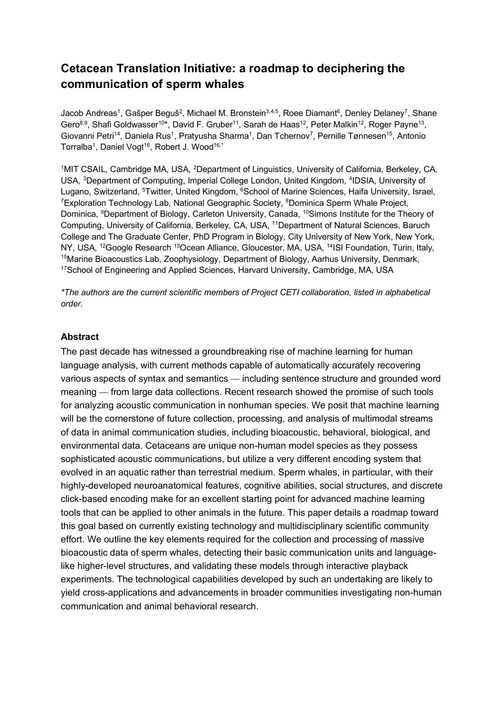# **Cetacean Translation Initiative: a roadmap to deciphering the communication of sperm whales**

Jacob Andreas<sup>1</sup>, Gašper Beguš<sup>2</sup>, Michael M. Bronstein<sup>3,4,5</sup>, Roee Diamant<sup>6</sup>, Denley Delaney<sup>7</sup>, Shane Gero<sup>8,9</sup>, Shafi Goldwasser<sup>10\*</sup>, David F. Gruber<sup>11</sup>, Sarah de Haas<sup>12</sup>, Peter Malkin<sup>12</sup>, Roger Payne<sup>13</sup>, Giovanni Petri<sup>14</sup>, Daniela Rus<sup>1</sup>, Pratyusha Sharma<sup>1</sup>, Dan Tchernov<sup>7</sup>, Pernille Tønnesen<sup>15</sup>, Antonio Torralba<sup>1</sup>, Daniel Vogt<sup>16</sup>, Robert J. Wood<sup>16,\*</sup>

<sup>1</sup>MIT CSAIL, Cambridge MA, USA, <sup>2</sup>Department of Linguistics, University of California, Berkeley, CA, USA, 3Department of Computing, Imperial College London, United Kingdom, 4IDSIA, University of Lugano, Switzerland, <sup>5</sup>Twitter, United Kingdom, <sup>6</sup>School of Marine Sciences, Haifa University, Israel, <sup>7</sup>Exploration Technology Lab, National Geographic Society, <sup>8</sup>Dominica Sperm Whale Project, Dominica, <sup>9</sup>Department of Biology, Carleton University, Canada, <sup>10</sup>Simons Institute for the Theory of Computing, University of California, Berkeley, CA, USA, 11Department of Natural Sciences, Baruch College and The Graduate Center, PhD Program in Biology, City University of New York, New York, NY, USA, <sup>12</sup>Google Research <sup>13</sup>Ocean Alliance, Gloucester, MA, USA, <sup>14</sup>ISI Foundation, Turin, Italy, <sup>15</sup>Marine Bioacoustics Lab, Zoophysiology, Department of Biology, Aarhus University, Denmark, <sup>17</sup>School of Engineering and Applied Sciences, Harvard University, Cambridge, MA, USA

*\*The authors are the current scientific members of Project CETI collaboration, listed in alphabetical order.*

#### **Abstract**

The past decade has witnessed a groundbreaking rise of machine learning for human language analysis, with current methods capable of automatically accurately recovering various aspects of syntax and semantics — including sentence structure and grounded word meaning — from large data collections. Recent research showed the promise of such tools for analyzing acoustic communication in nonhuman species. We posit that machine learning will be the cornerstone of future collection, processing, and analysis of multimodal streams of data in animal communication studies, including bioacoustic, behavioral, biological, and environmental data. Cetaceans are unique non-human model species as they possess sophisticated acoustic communications, but utilize a very different encoding system that evolved in an aquatic rather than terrestrial medium. Sperm whales, in particular, with their highly-developed neuroanatomical features, cognitive abilities, social structures, and discrete click-based encoding make for an excellent starting point for advanced machine learning tools that can be applied to other animals in the future. This paper details a roadmap toward this goal based on currently existing technology and multidisciplinary scientific community effort. We outline the key elements required for the collection and processing of massive bioacoustic data of sperm whales, detecting their basic communication units and languagelike higher-level structures, and validating these models through interactive playback experiments. The technological capabilities developed by such an undertaking are likely to yield cross-applications and advancements in broader communities investigating non-human communication and animal behavioral research.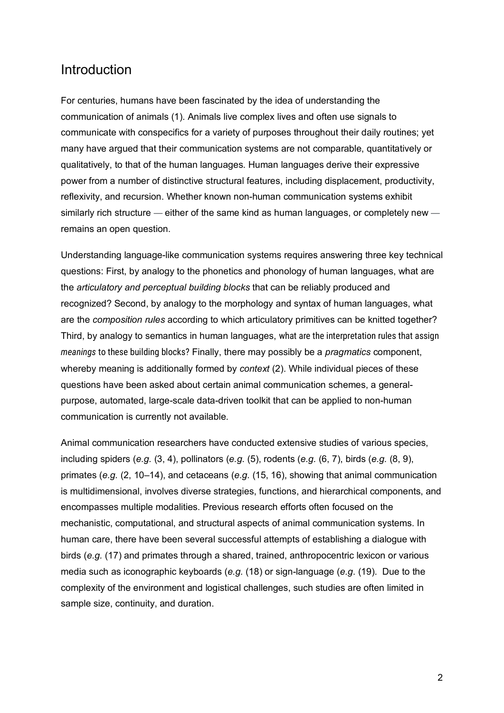# Introduction

For centuries, humans have been fascinated by the idea of understanding the communication of animals (1). Animals live complex lives and often use signals to communicate with conspecifics for a variety of purposes throughout their daily routines; yet many have argued that their communication systems are not comparable, quantitatively or qualitatively, to that of the human languages. Human languages derive their expressive power from a number of distinctive structural features, including displacement, productivity, reflexivity, and recursion. Whether known non-human communication systems exhibit similarly rich structure — either of the same kind as human languages, or completely new remains an open question.

Understanding language-like communication systems requires answering three key technical questions: First, by analogy to the phonetics and phonology of human languages, what are the *articulatory and perceptual building blocks* that can be reliably produced and recognized? Second, by analogy to the morphology and syntax of human languages, what are the *composition rules* according to which articulatory primitives can be knitted together? Third, by analogy to semantics in human languages, what are the interpretation rules that assign *meanings* to these building blocks? Finally, there may possibly be a *pragmatics* component, whereby meaning is additionally formed by *context* (2). While individual pieces of these questions have been asked about certain animal communication schemes, a generalpurpose, automated, large-scale data-driven toolkit that can be applied to non-human communication is currently not available.

Animal communication researchers have conducted extensive studies of various species, including spiders (*e.g.* (3, 4), pollinators (*e.g*. (5), rodents (*e.g.* (6, 7), birds (*e.g.* (8, 9), primates (*e.g.* (2, 10–14), and cetaceans (*e.g.* (15, 16), showing that animal communication is multidimensional, involves diverse strategies, functions, and hierarchical components, and encompasses multiple modalities. Previous research efforts often focused on the mechanistic, computational, and structural aspects of animal communication systems. In human care, there have been several successful attempts of establishing a dialogue with birds (*e.g.* (17) and primates through a shared, trained, anthropocentric lexicon or various media such as iconographic keyboards (*e.g.* (18) or sign-language (*e.g*. (19). Due to the complexity of the environment and logistical challenges, such studies are often limited in sample size, continuity, and duration.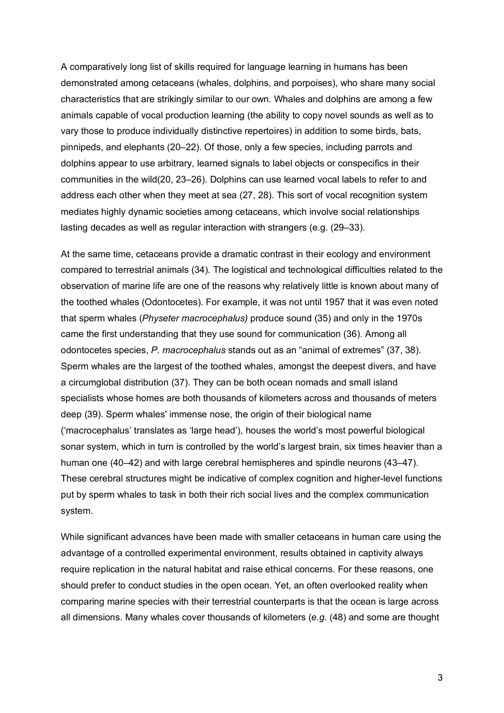A comparatively long list of skills required for language learning in humans has been demonstrated among cetaceans (whales, dolphins, and porpoises), who share many social characteristics that are strikingly similar to our own. Whales and dolphins are among a few animals capable of vocal production learning (the ability to copy novel sounds as well as to vary those to produce individually distinctive repertoires) in addition to some birds, bats, pinnipeds, and elephants (20–22). Of those, only a few species, including parrots and dolphins appear to use arbitrary, learned signals to label objects or conspecifics in their communities in the wild(20, 23–26). Dolphins can use learned vocal labels to refer to and address each other when they meet at sea (27, 28). This sort of vocal recognition system mediates highly dynamic societies among cetaceans, which involve social relationships lasting decades as well as regular interaction with strangers (e.g. (29–33).

At the same time, cetaceans provide a dramatic contrast in their ecology and environment compared to terrestrial animals (34). The logistical and technological difficulties related to the observation of marine life are one of the reasons why relatively little is known about many of the toothed whales (Odontocetes). For example, it was not until 1957 that it was even noted that sperm whales (*Physeter macrocephalus)* produce sound (35) and only in the 1970s came the first understanding that they use sound for communication (36). Among all odontocetes species, *P. macrocephalus* stands out as an "animal of extremes" (37, 38). Sperm whales are the largest of the toothed whales, amongst the deepest divers, and have a circumglobal distribution (37). They can be both ocean nomads and small island specialists whose homes are both thousands of kilometers across and thousands of meters deep (39). Sperm whales' immense nose, the origin of their biological name ('macrocephalus' translates as 'large head'), houses the world's most powerful biological sonar system, which in turn is controlled by the world's largest brain, six times heavier than a human one (40–42) and with large cerebral hemispheres and spindle neurons (43–47). These cerebral structures might be indicative of complex cognition and higher-level functions put by sperm whales to task in both their rich social lives and the complex communication system.

While significant advances have been made with smaller cetaceans in human care using the advantage of a controlled experimental environment, results obtained in captivity always require replication in the natural habitat and raise ethical concerns. For these reasons, one should prefer to conduct studies in the open ocean. Yet, an often overlooked reality when comparing marine species with their terrestrial counterparts is that the ocean is large across all dimensions. Many whales cover thousands of kilometers (*e.g.* (48) and some are thought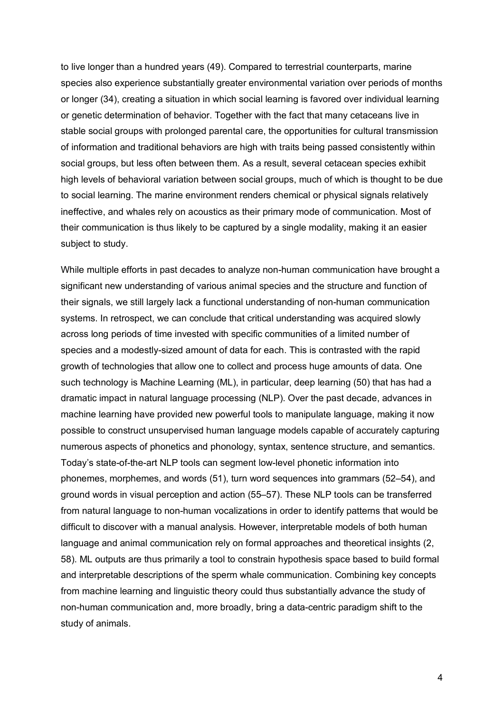to live longer than a hundred years (49). Compared to terrestrial counterparts, marine species also experience substantially greater environmental variation over periods of months or longer (34), creating a situation in which social learning is favored over individual learning or genetic determination of behavior. Together with the fact that many cetaceans live in stable social groups with prolonged parental care, the opportunities for cultural transmission of information and traditional behaviors are high with traits being passed consistently within social groups, but less often between them. As a result, several cetacean species exhibit high levels of behavioral variation between social groups, much of which is thought to be due to social learning. The marine environment renders chemical or physical signals relatively ineffective, and whales rely on acoustics as their primary mode of communication. Most of their communication is thus likely to be captured by a single modality, making it an easier subject to study.

While multiple efforts in past decades to analyze non-human communication have brought a significant new understanding of various animal species and the structure and function of their signals, we still largely lack a functional understanding of non-human communication systems. In retrospect, we can conclude that critical understanding was acquired slowly across long periods of time invested with specific communities of a limited number of species and a modestly-sized amount of data for each. This is contrasted with the rapid growth of technologies that allow one to collect and process huge amounts of data. One such technology is Machine Learning (ML), in particular, deep learning (50) that has had a dramatic impact in natural language processing (NLP). Over the past decade, advances in machine learning have provided new powerful tools to manipulate language, making it now possible to construct unsupervised human language models capable of accurately capturing numerous aspects of phonetics and phonology, syntax, sentence structure, and semantics. Today's state-of-the-art NLP tools can segment low-level phonetic information into phonemes, morphemes, and words (51), turn word sequences into grammars (52–54), and ground words in visual perception and action (55–57). These NLP tools can be transferred from natural language to non-human vocalizations in order to identify patterns that would be difficult to discover with a manual analysis. However, interpretable models of both human language and animal communication rely on formal approaches and theoretical insights (2, 58). ML outputs are thus primarily a tool to constrain hypothesis space based to build formal and interpretable descriptions of the sperm whale communication. Combining key concepts from machine learning and linguistic theory could thus substantially advance the study of non-human communication and, more broadly, bring a data-centric paradigm shift to the study of animals.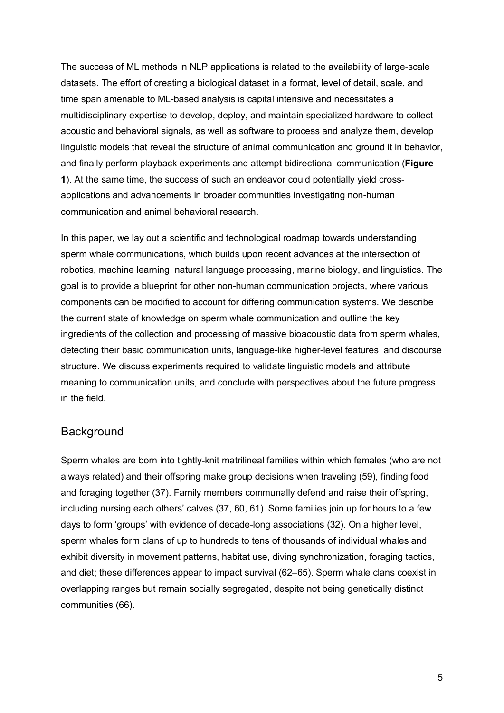The success of ML methods in NLP applications is related to the availability of large-scale datasets. The effort of creating a biological dataset in a format, level of detail, scale, and time span amenable to ML-based analysis is capital intensive and necessitates a multidisciplinary expertise to develop, deploy, and maintain specialized hardware to collect acoustic and behavioral signals, as well as software to process and analyze them, develop linguistic models that reveal the structure of animal communication and ground it in behavior, and finally perform playback experiments and attempt bidirectional communication (**Figure 1**). At the same time, the success of such an endeavor could potentially yield crossapplications and advancements in broader communities investigating non-human communication and animal behavioral research.

In this paper, we lay out a scientific and technological roadmap towards understanding sperm whale communications, which builds upon recent advances at the intersection of robotics, machine learning, natural language processing, marine biology, and linguistics. The goal is to provide a blueprint for other non-human communication projects, where various components can be modified to account for differing communication systems. We describe the current state of knowledge on sperm whale communication and outline the key ingredients of the collection and processing of massive bioacoustic data from sperm whales, detecting their basic communication units, language-like higher-level features, and discourse structure. We discuss experiments required to validate linguistic models and attribute meaning to communication units, and conclude with perspectives about the future progress in the field.

### **Background**

Sperm whales are born into tightly-knit matrilineal families within which females (who are not always related) and their offspring make group decisions when traveling (59), finding food and foraging together (37). Family members communally defend and raise their offspring, including nursing each others' calves (37, 60, 61). Some families join up for hours to a few days to form 'groups' with evidence of decade-long associations (32). On a higher level, sperm whales form clans of up to hundreds to tens of thousands of individual whales and exhibit diversity in movement patterns, habitat use, diving synchronization, foraging tactics, and diet; these differences appear to impact survival (62–65). Sperm whale clans coexist in overlapping ranges but remain socially segregated, despite not being genetically distinct communities (66).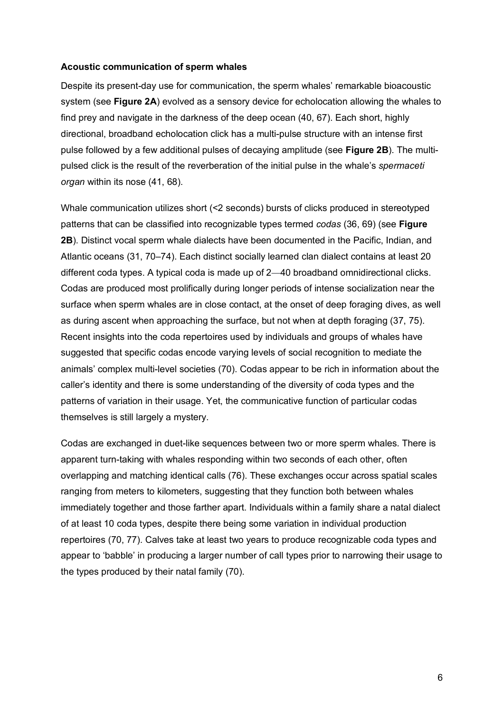#### **Acoustic communication of sperm whales**

Despite its present-day use for communication, the sperm whales' remarkable bioacoustic system (see **Figure 2A**) evolved as a sensory device for echolocation allowing the whales to find prey and navigate in the darkness of the deep ocean (40, 67). Each short, highly directional, broadband echolocation click has a multi-pulse structure with an intense first pulse followed by a few additional pulses of decaying amplitude (see **Figure 2B**). The multipulsed click is the result of the reverberation of the initial pulse in the whale's *spermaceti organ* within its nose (41, 68).

Whale communication utilizes short (<2 seconds) bursts of clicks produced in stereotyped patterns that can be classified into recognizable types termed *codas* (36, 69) (see **Figure 2B**). Distinct vocal sperm whale dialects have been documented in the Pacific, Indian, and Atlantic oceans (31, 70–74). Each distinct socially learned clan dialect contains at least 20 different coda types. A typical coda is made up of 2—40 broadband omnidirectional clicks. Codas are produced most prolifically during longer periods of intense socialization near the surface when sperm whales are in close contact, at the onset of deep foraging dives, as well as during ascent when approaching the surface, but not when at depth foraging (37, 75). Recent insights into the coda repertoires used by individuals and groups of whales have suggested that specific codas encode varying levels of social recognition to mediate the animals' complex multi-level societies (70). Codas appear to be rich in information about the caller's identity and there is some understanding of the diversity of coda types and the patterns of variation in their usage. Yet, the communicative function of particular codas themselves is still largely a mystery.

Codas are exchanged in duet-like sequences between two or more sperm whales. There is apparent turn-taking with whales responding within two seconds of each other, often overlapping and matching identical calls (76). These exchanges occur across spatial scales ranging from meters to kilometers, suggesting that they function both between whales immediately together and those farther apart. Individuals within a family share a natal dialect of at least 10 coda types, despite there being some variation in individual production repertoires (70, 77). Calves take at least two years to produce recognizable coda types and appear to 'babble' in producing a larger number of call types prior to narrowing their usage to the types produced by their natal family (70).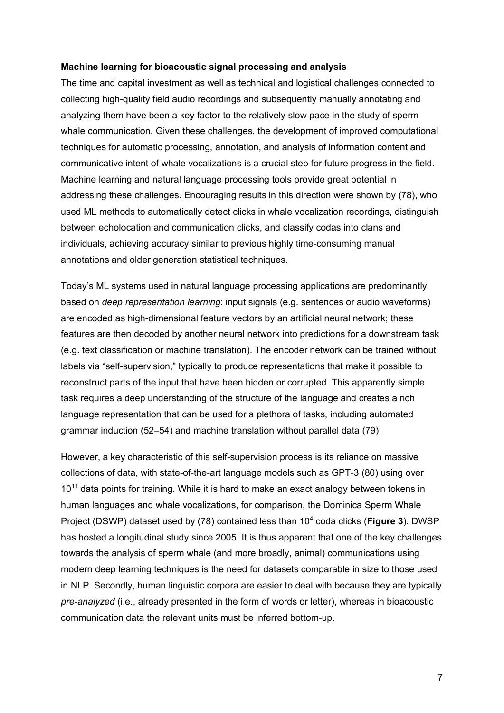#### **Machine learning for bioacoustic signal processing and analysis**

The time and capital investment as well as technical and logistical challenges connected to collecting high-quality field audio recordings and subsequently manually annotating and analyzing them have been a key factor to the relatively slow pace in the study of sperm whale communication. Given these challenges, the development of improved computational techniques for automatic processing, annotation, and analysis of information content and communicative intent of whale vocalizations is a crucial step for future progress in the field. Machine learning and natural language processing tools provide great potential in addressing these challenges. Encouraging results in this direction were shown by (78), who used ML methods to automatically detect clicks in whale vocalization recordings, distinguish between echolocation and communication clicks, and classify codas into clans and individuals, achieving accuracy similar to previous highly time-consuming manual annotations and older generation statistical techniques.

Today's ML systems used in natural language processing applications are predominantly based on *deep representation learning*: input signals (e.g. sentences or audio waveforms) are encoded as high-dimensional feature vectors by an artificial neural network; these features are then decoded by another neural network into predictions for a downstream task (e.g. text classification or machine translation). The encoder network can be trained without labels via "self-supervision," typically to produce representations that make it possible to reconstruct parts of the input that have been hidden or corrupted. This apparently simple task requires a deep understanding of the structure of the language and creates a rich language representation that can be used for a plethora of tasks, including automated grammar induction (52–54) and machine translation without parallel data (79).

However, a key characteristic of this self-supervision process is its reliance on massive collections of data, with state-of-the-art language models such as GPT-3 (80) using over 10<sup>11</sup> data points for training. While it is hard to make an exact analogy between tokens in human languages and whale vocalizations, for comparison, the Dominica Sperm Whale Project (DSWP) dataset used by (78) contained less than 10<sup>4</sup> coda clicks (**Figure 3**). DWSP has hosted a longitudinal study since 2005. It is thus apparent that one of the key challenges towards the analysis of sperm whale (and more broadly, animal) communications using modern deep learning techniques is the need for datasets comparable in size to those used in NLP. Secondly, human linguistic corpora are easier to deal with because they are typically *pre-analyzed* (i.e., already presented in the form of words or letter), whereas in bioacoustic communication data the relevant units must be inferred bottom-up.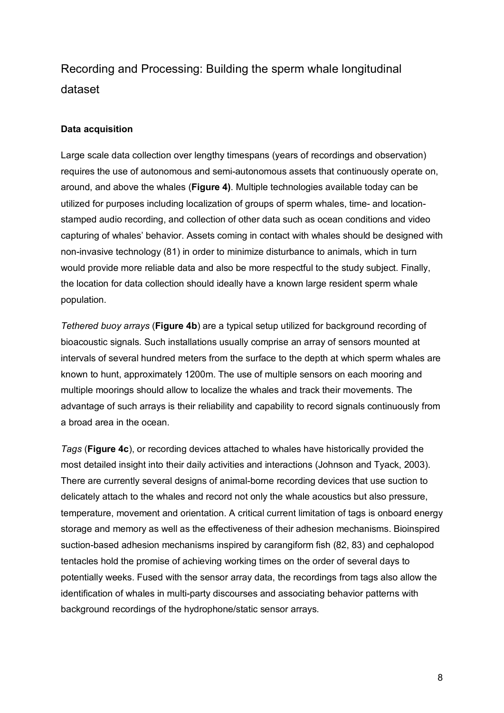# Recording and Processing: Building the sperm whale longitudinal dataset

#### **Data acquisition**

Large scale data collection over lengthy timespans (years of recordings and observation) requires the use of autonomous and semi-autonomous assets that continuously operate on, around, and above the whales (**Figure 4)**. Multiple technologies available today can be utilized for purposes including localization of groups of sperm whales, time- and locationstamped audio recording, and collection of other data such as ocean conditions and video capturing of whales' behavior. Assets coming in contact with whales should be designed with non-invasive technology (81) in order to minimize disturbance to animals, which in turn would provide more reliable data and also be more respectful to the study subject. Finally, the location for data collection should ideally have a known large resident sperm whale population.

*Tethered buoy arrays* (**Figure 4b**) are a typical setup utilized for background recording of bioacoustic signals. Such installations usually comprise an array of sensors mounted at intervals of several hundred meters from the surface to the depth at which sperm whales are known to hunt, approximately 1200m. The use of multiple sensors on each mooring and multiple moorings should allow to localize the whales and track their movements. The advantage of such arrays is their reliability and capability to record signals continuously from a broad area in the ocean.

*Tags* (**Figure 4c**), or recording devices attached to whales have historically provided the most detailed insight into their daily activities and interactions (Johnson and Tyack, 2003). There are currently several designs of animal-borne recording devices that use suction to delicately attach to the whales and record not only the whale acoustics but also pressure, temperature, movement and orientation. A critical current limitation of tags is onboard energy storage and memory as well as the effectiveness of their adhesion mechanisms. Bioinspired suction-based adhesion mechanisms inspired by carangiform fish (82, 83) and cephalopod tentacles hold the promise of achieving working times on the order of several days to potentially weeks. Fused with the sensor array data, the recordings from tags also allow the identification of whales in multi-party discourses and associating behavior patterns with background recordings of the hydrophone/static sensor arrays.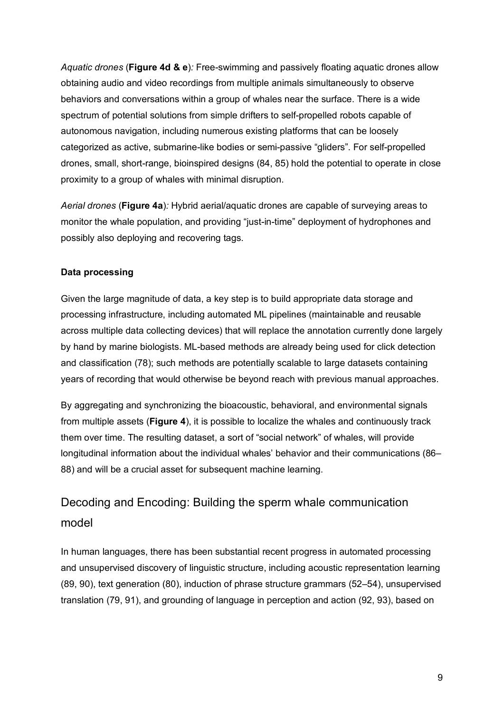*Aquatic drones* (**Figure 4d & e**)*:* Free-swimming and passively floating aquatic drones allow obtaining audio and video recordings from multiple animals simultaneously to observe behaviors and conversations within a group of whales near the surface. There is a wide spectrum of potential solutions from simple drifters to self-propelled robots capable of autonomous navigation, including numerous existing platforms that can be loosely categorized as active, submarine-like bodies or semi-passive "gliders". For self-propelled drones, small, short-range, bioinspired designs (84, 85) hold the potential to operate in close proximity to a group of whales with minimal disruption.

*Aerial drones* (**Figure 4a**)*:* Hybrid aerial/aquatic drones are capable of surveying areas to monitor the whale population, and providing "just-in-time" deployment of hydrophones and possibly also deploying and recovering tags.

## **Data processing**

Given the large magnitude of data, a key step is to build appropriate data storage and processing infrastructure, including automated ML pipelines (maintainable and reusable across multiple data collecting devices) that will replace the annotation currently done largely by hand by marine biologists. ML-based methods are already being used for click detection and classification (78); such methods are potentially scalable to large datasets containing years of recording that would otherwise be beyond reach with previous manual approaches.

By aggregating and synchronizing the bioacoustic, behavioral, and environmental signals from multiple assets (**Figure 4**), it is possible to localize the whales and continuously track them over time. The resulting dataset, a sort of "social network" of whales, will provide longitudinal information about the individual whales' behavior and their communications (86– 88) and will be a crucial asset for subsequent machine learning.

# Decoding and Encoding: Building the sperm whale communication model

In human languages, there has been substantial recent progress in automated processing and unsupervised discovery of linguistic structure, including acoustic representation learning (89, 90), text generation (80), induction of phrase structure grammars (52–54), unsupervised translation (79, 91), and grounding of language in perception and action (92, 93), based on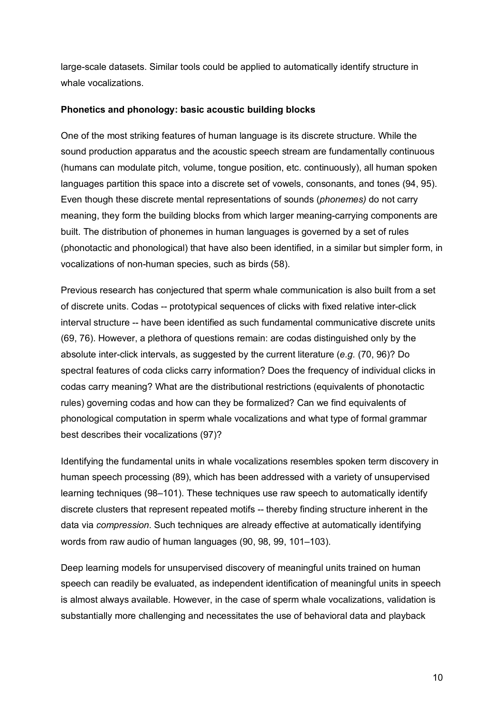large-scale datasets. Similar tools could be applied to automatically identify structure in whale vocalizations.

#### **Phonetics and phonology: basic acoustic building blocks**

One of the most striking features of human language is its discrete structure. While the sound production apparatus and the acoustic speech stream are fundamentally continuous (humans can modulate pitch, volume, tongue position, etc. continuously), all human spoken languages partition this space into a discrete set of vowels, consonants, and tones (94, 95). Even though these discrete mental representations of sounds (*phonemes)* do not carry meaning, they form the building blocks from which larger meaning-carrying components are built. The distribution of phonemes in human languages is governed by a set of rules (phonotactic and phonological) that have also been identified, in a similar but simpler form, in vocalizations of non-human species, such as birds (58).

Previous research has conjectured that sperm whale communication is also built from a set of discrete units. Codas -- prototypical sequences of clicks with fixed relative inter-click interval structure -- have been identified as such fundamental communicative discrete units (69, 76). However, a plethora of questions remain: are codas distinguished only by the absolute inter-click intervals, as suggested by the current literature (*e.g.* (70, 96)? Do spectral features of coda clicks carry information? Does the frequency of individual clicks in codas carry meaning? What are the distributional restrictions (equivalents of phonotactic rules) governing codas and how can they be formalized? Can we find equivalents of phonological computation in sperm whale vocalizations and what type of formal grammar best describes their vocalizations (97)?

Identifying the fundamental units in whale vocalizations resembles spoken term discovery in human speech processing (89), which has been addressed with a variety of unsupervised learning techniques (98–101). These techniques use raw speech to automatically identify discrete clusters that represent repeated motifs -- thereby finding structure inherent in the data via *compression*. Such techniques are already effective at automatically identifying words from raw audio of human languages (90, 98, 99, 101–103).

Deep learning models for unsupervised discovery of meaningful units trained on human speech can readily be evaluated, as independent identification of meaningful units in speech is almost always available. However, in the case of sperm whale vocalizations, validation is substantially more challenging and necessitates the use of behavioral data and playback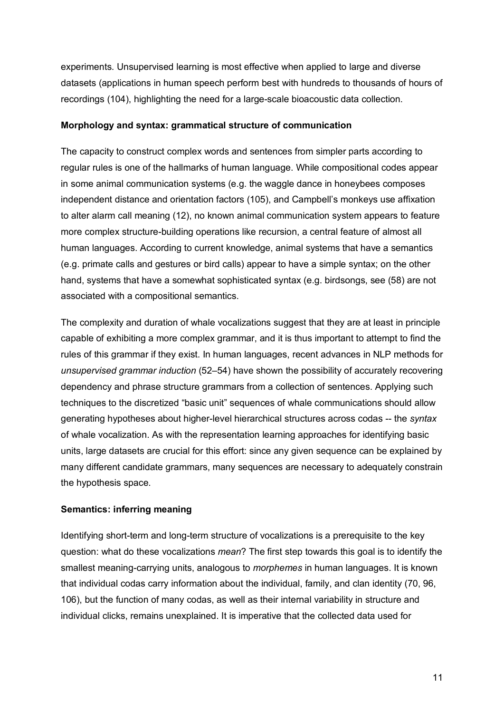experiments. Unsupervised learning is most effective when applied to large and diverse datasets (applications in human speech perform best with hundreds to thousands of hours of recordings (104), highlighting the need for a large-scale bioacoustic data collection.

#### **Morphology and syntax: grammatical structure of communication**

The capacity to construct complex words and sentences from simpler parts according to regular rules is one of the hallmarks of human language. While compositional codes appear in some animal communication systems (e.g. the waggle dance in honeybees composes independent distance and orientation factors (105), and Campbell's monkeys use affixation to alter alarm call meaning (12), no known animal communication system appears to feature more complex structure-building operations like recursion, a central feature of almost all human languages. According to current knowledge, animal systems that have a semantics (e.g. primate calls and gestures or bird calls) appear to have a simple syntax; on the other hand, systems that have a somewhat sophisticated syntax (e.g. birdsongs, see (58) are not associated with a compositional semantics.

The complexity and duration of whale vocalizations suggest that they are at least in principle capable of exhibiting a more complex grammar, and it is thus important to attempt to find the rules of this grammar if they exist. In human languages, recent advances in NLP methods for *unsupervised grammar induction* (52–54) have shown the possibility of accurately recovering dependency and phrase structure grammars from a collection of sentences. Applying such techniques to the discretized "basic unit" sequences of whale communications should allow generating hypotheses about higher-level hierarchical structures across codas -- the *syntax* of whale vocalization. As with the representation learning approaches for identifying basic units, large datasets are crucial for this effort: since any given sequence can be explained by many different candidate grammars, many sequences are necessary to adequately constrain the hypothesis space.

### **Semantics: inferring meaning**

Identifying short-term and long-term structure of vocalizations is a prerequisite to the key question: what do these vocalizations *mean*? The first step towards this goal is to identify the smallest meaning-carrying units, analogous to *morphemes* in human languages. It is known that individual codas carry information about the individual, family, and clan identity (70, 96, 106), but the function of many codas, as well as their internal variability in structure and individual clicks, remains unexplained. It is imperative that the collected data used for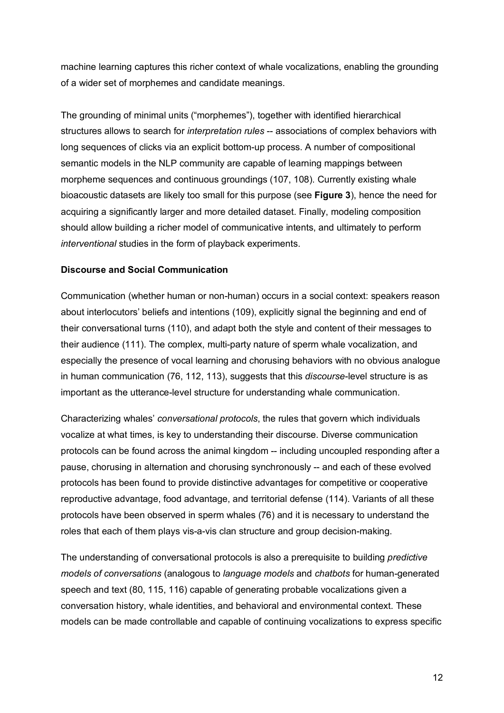machine learning captures this richer context of whale vocalizations, enabling the grounding of a wider set of morphemes and candidate meanings.

The grounding of minimal units ("morphemes"), together with identified hierarchical structures allows to search for *interpretation rules* -- associations of complex behaviors with long sequences of clicks via an explicit bottom-up process. A number of compositional semantic models in the NLP community are capable of learning mappings between morpheme sequences and continuous groundings (107, 108). Currently existing whale bioacoustic datasets are likely too small for this purpose (see **Figure 3**), hence the need for acquiring a significantly larger and more detailed dataset. Finally, modeling composition should allow building a richer model of communicative intents, and ultimately to perform *interventional* studies in the form of playback experiments.

#### **Discourse and Social Communication**

Communication (whether human or non-human) occurs in a social context: speakers reason about interlocutors' beliefs and intentions (109), explicitly signal the beginning and end of their conversational turns (110), and adapt both the style and content of their messages to their audience (111). The complex, multi-party nature of sperm whale vocalization, and especially the presence of vocal learning and chorusing behaviors with no obvious analogue in human communication (76, 112, 113), suggests that this *discourse*-level structure is as important as the utterance-level structure for understanding whale communication.

Characterizing whales' *conversational protocols*, the rules that govern which individuals vocalize at what times, is key to understanding their discourse. Diverse communication protocols can be found across the animal kingdom -- including uncoupled responding after a pause, chorusing in alternation and chorusing synchronously -- and each of these evolved protocols has been found to provide distinctive advantages for competitive or cooperative reproductive advantage, food advantage, and territorial defense (114). Variants of all these protocols have been observed in sperm whales (76) and it is necessary to understand the roles that each of them plays vis-a-vis clan structure and group decision-making.

The understanding of conversational protocols is also a prerequisite to building *predictive models of conversations* (analogous to *language models* and *chatbots* for human-generated speech and text (80, 115, 116) capable of generating probable vocalizations given a conversation history, whale identities, and behavioral and environmental context. These models can be made controllable and capable of continuing vocalizations to express specific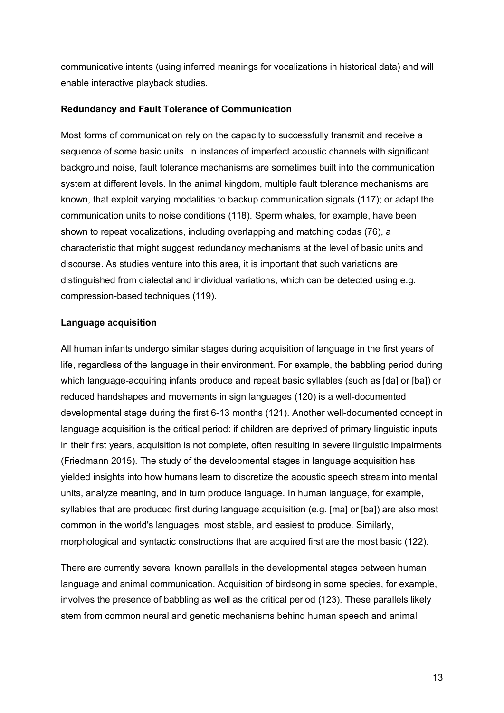communicative intents (using inferred meanings for vocalizations in historical data) and will enable interactive playback studies.

#### **Redundancy and Fault Tolerance of Communication**

Most forms of communication rely on the capacity to successfully transmit and receive a sequence of some basic units. In instances of imperfect acoustic channels with significant background noise, fault tolerance mechanisms are sometimes built into the communication system at different levels. In the animal kingdom, multiple fault tolerance mechanisms are known, that exploit varying modalities to backup communication signals (117); or adapt the communication units to noise conditions (118). Sperm whales, for example, have been shown to repeat vocalizations, including overlapping and matching codas (76), a characteristic that might suggest redundancy mechanisms at the level of basic units and discourse. As studies venture into this area, it is important that such variations are distinguished from dialectal and individual variations, which can be detected using e.g. compression-based techniques (119).

#### **Language acquisition**

All human infants undergo similar stages during acquisition of language in the first years of life, regardless of the language in their environment. For example, the babbling period during which language-acquiring infants produce and repeat basic syllables (such as [da] or [ba]) or reduced handshapes and movements in sign languages (120) is a well-documented developmental stage during the first 6-13 months (121). Another well-documented concept in language acquisition is the critical period: if children are deprived of primary linguistic inputs in their first years, acquisition is not complete, often resulting in severe linguistic impairments (Friedmann 2015). The study of the developmental stages in language acquisition has yielded insights into how humans learn to discretize the acoustic speech stream into mental units, analyze meaning, and in turn produce language. In human language, for example, syllables that are produced first during language acquisition (e.g. [ma] or [ba]) are also most common in the world's languages, most stable, and easiest to produce. Similarly, morphological and syntactic constructions that are acquired first are the most basic (122).

There are currently several known parallels in the developmental stages between human language and animal communication. Acquisition of birdsong in some species, for example, involves the presence of babbling as well as the critical period (123). These parallels likely stem from common neural and genetic mechanisms behind human speech and animal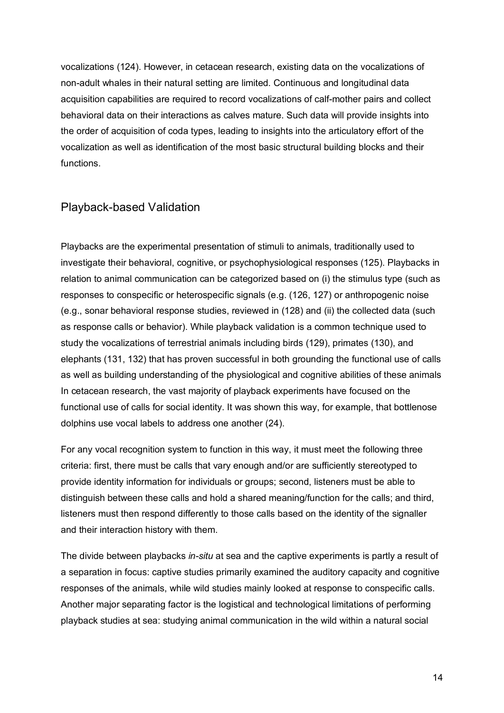vocalizations (124). However, in cetacean research, existing data on the vocalizations of non-adult whales in their natural setting are limited. Continuous and longitudinal data acquisition capabilities are required to record vocalizations of calf-mother pairs and collect behavioral data on their interactions as calves mature. Such data will provide insights into the order of acquisition of coda types, leading to insights into the articulatory effort of the vocalization as well as identification of the most basic structural building blocks and their functions.

## Playback-based Validation

Playbacks are the experimental presentation of stimuli to animals, traditionally used to investigate their behavioral, cognitive, or psychophysiological responses (125). Playbacks in relation to animal communication can be categorized based on (i) the stimulus type (such as responses to conspecific or heterospecific signals (e.g. (126, 127) or anthropogenic noise (e.g., sonar behavioral response studies, reviewed in (128) and (ii) the collected data (such as response calls or behavior). While playback validation is a common technique used to study the vocalizations of terrestrial animals including birds (129), primates (130), and elephants (131, 132) that has proven successful in both grounding the functional use of calls as well as building understanding of the physiological and cognitive abilities of these animals In cetacean research, the vast majority of playback experiments have focused on the functional use of calls for social identity. It was shown this way, for example, that bottlenose dolphins use vocal labels to address one another (24).

For any vocal recognition system to function in this way, it must meet the following three criteria: first, there must be calls that vary enough and/or are sufficiently stereotyped to provide identity information for individuals or groups; second, listeners must be able to distinguish between these calls and hold a shared meaning/function for the calls; and third, listeners must then respond differently to those calls based on the identity of the signaller and their interaction history with them.

The divide between playbacks *in-situ* at sea and the captive experiments is partly a result of a separation in focus: captive studies primarily examined the auditory capacity and cognitive responses of the animals, while wild studies mainly looked at response to conspecific calls. Another major separating factor is the logistical and technological limitations of performing playback studies at sea: studying animal communication in the wild within a natural social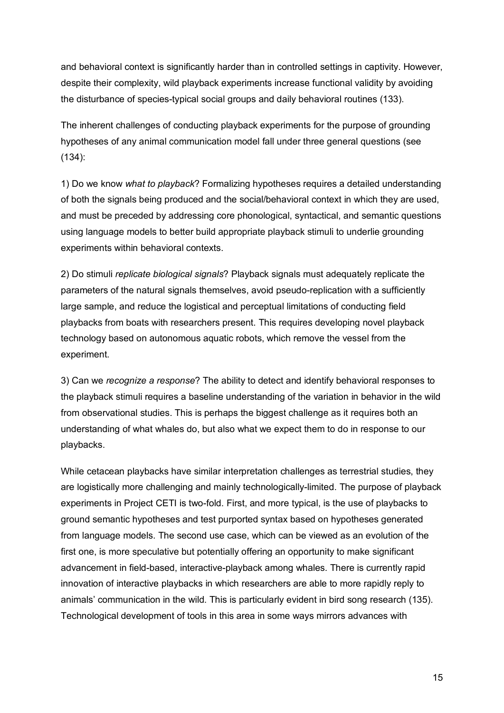and behavioral context is significantly harder than in controlled settings in captivity. However, despite their complexity, wild playback experiments increase functional validity by avoiding the disturbance of species-typical social groups and daily behavioral routines (133).

The inherent challenges of conducting playback experiments for the purpose of grounding hypotheses of any animal communication model fall under three general questions (see (134):

1) Do we know *what to playback*? Formalizing hypotheses requires a detailed understanding of both the signals being produced and the social/behavioral context in which they are used, and must be preceded by addressing core phonological, syntactical, and semantic questions using language models to better build appropriate playback stimuli to underlie grounding experiments within behavioral contexts.

2) Do stimuli *replicate biological signals*? Playback signals must adequately replicate the parameters of the natural signals themselves, avoid pseudo-replication with a sufficiently large sample, and reduce the logistical and perceptual limitations of conducting field playbacks from boats with researchers present. This requires developing novel playback technology based on autonomous aquatic robots, which remove the vessel from the experiment.

3) Can we *recognize a response*? The ability to detect and identify behavioral responses to the playback stimuli requires a baseline understanding of the variation in behavior in the wild from observational studies. This is perhaps the biggest challenge as it requires both an understanding of what whales do, but also what we expect them to do in response to our playbacks.

While cetacean playbacks have similar interpretation challenges as terrestrial studies, they are logistically more challenging and mainly technologically-limited. The purpose of playback experiments in Project CETI is two-fold. First, and more typical, is the use of playbacks to ground semantic hypotheses and test purported syntax based on hypotheses generated from language models. The second use case, which can be viewed as an evolution of the first one, is more speculative but potentially offering an opportunity to make significant advancement in field-based, interactive-playback among whales. There is currently rapid innovation of interactive playbacks in which researchers are able to more rapidly reply to animals' communication in the wild. This is particularly evident in bird song research (135). Technological development of tools in this area in some ways mirrors advances with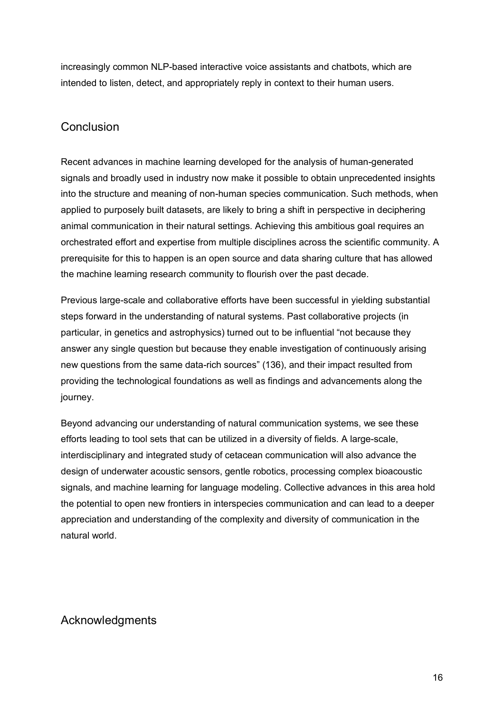increasingly common NLP-based interactive voice assistants and chatbots, which are intended to listen, detect, and appropriately reply in context to their human users.

## Conclusion

Recent advances in machine learning developed for the analysis of human-generated signals and broadly used in industry now make it possible to obtain unprecedented insights into the structure and meaning of non-human species communication. Such methods, when applied to purposely built datasets, are likely to bring a shift in perspective in deciphering animal communication in their natural settings. Achieving this ambitious goal requires an orchestrated effort and expertise from multiple disciplines across the scientific community. A prerequisite for this to happen is an open source and data sharing culture that has allowed the machine learning research community to flourish over the past decade.

Previous large-scale and collaborative efforts have been successful in yielding substantial steps forward in the understanding of natural systems. Past collaborative projects (in particular, in genetics and astrophysics) turned out to be influential "not because they answer any single question but because they enable investigation of continuously arising new questions from the same data-rich sources" (136), and their impact resulted from providing the technological foundations as well as findings and advancements along the journey.

Beyond advancing our understanding of natural communication systems, we see these efforts leading to tool sets that can be utilized in a diversity of fields. A large-scale, interdisciplinary and integrated study of cetacean communication will also advance the design of underwater acoustic sensors, gentle robotics, processing complex bioacoustic signals, and machine learning for language modeling. Collective advances in this area hold the potential to open new frontiers in interspecies communication and can lead to a deeper appreciation and understanding of the complexity and diversity of communication in the natural world.

# Acknowledgments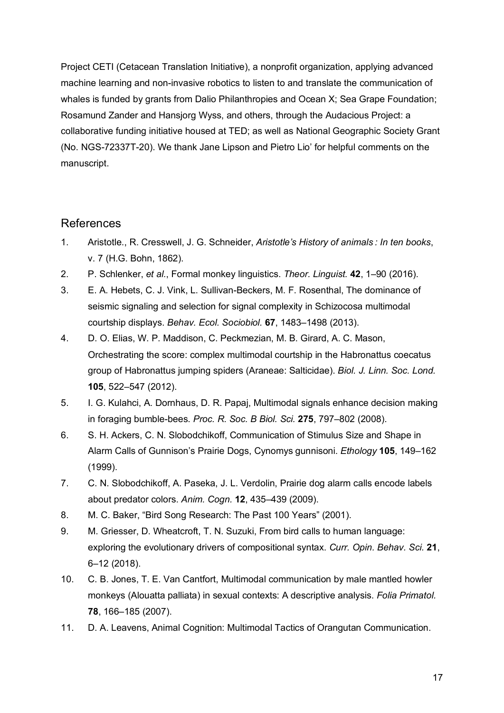Project CETI (Cetacean Translation Initiative), a nonprofit organization, applying advanced machine learning and non-invasive robotics to listen to and translate the communication of whales is funded by grants from Dalio Philanthropies and Ocean X; Sea Grape Foundation; Rosamund Zander and Hansjorg Wyss, and others, through the Audacious Project: a collaborative funding initiative housed at TED; as well as National Geographic Society Grant (No. NGS-72337T-20). We thank Jane Lipson and Pietro Lio' for helpful comments on the manuscript.

## References

- 1. Aristotle., R. Cresswell, J. G. Schneider, *Aristotle's History of animals : In ten books*, v. 7 (H.G. Bohn, 1862).
- 2. P. Schlenker, *et al.*, Formal monkey linguistics. *Theor. Linguist.* **42**, 1–90 (2016).
- 3. E. A. Hebets, C. J. Vink, L. Sullivan-Beckers, M. F. Rosenthal, The dominance of seismic signaling and selection for signal complexity in Schizocosa multimodal courtship displays. *Behav. Ecol. Sociobiol.* **67**, 1483–1498 (2013).
- 4. D. O. Elias, W. P. Maddison, C. Peckmezian, M. B. Girard, A. C. Mason, Orchestrating the score: complex multimodal courtship in the Habronattus coecatus group of Habronattus jumping spiders (Araneae: Salticidae). *Biol. J. Linn. Soc. Lond.* **105**, 522–547 (2012).
- 5. I. G. Kulahci, A. Dornhaus, D. R. Papaj, Multimodal signals enhance decision making in foraging bumble-bees. *Proc. R. Soc. B Biol. Sci.* **275**, 797–802 (2008).
- 6. S. H. Ackers, C. N. Slobodchikoff, Communication of Stimulus Size and Shape in Alarm Calls of Gunnison's Prairie Dogs, Cynomys gunnisoni. *Ethology* **105**, 149–162 (1999).
- 7. C. N. Slobodchikoff, A. Paseka, J. L. Verdolin, Prairie dog alarm calls encode labels about predator colors. *Anim. Cogn.* **12**, 435–439 (2009).
- 8. M. C. Baker, "Bird Song Research: The Past 100 Years" (2001).
- 9. M. Griesser, D. Wheatcroft, T. N. Suzuki, From bird calls to human language: exploring the evolutionary drivers of compositional syntax. *Curr. Opin. Behav. Sci.* **21**, 6–12 (2018).
- 10. C. B. Jones, T. E. Van Cantfort, Multimodal communication by male mantled howler monkeys (Alouatta palliata) in sexual contexts: A descriptive analysis. *Folia Primatol.* **78**, 166–185 (2007).
- 11. D. A. Leavens, Animal Cognition: Multimodal Tactics of Orangutan Communication.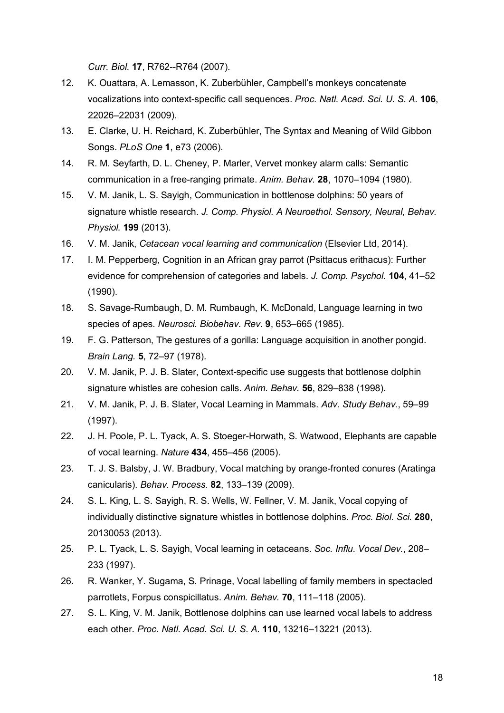*Curr. Biol.* **17**, R762--R764 (2007).

- 12. K. Ouattara, A. Lemasson, K. Zuberbühler, Campbell's monkeys concatenate vocalizations into context-specific call sequences. *Proc. Natl. Acad. Sci. U. S. A.* **106**, 22026–22031 (2009).
- 13. E. Clarke, U. H. Reichard, K. Zuberbühler, The Syntax and Meaning of Wild Gibbon Songs. *PLoS One* **1**, e73 (2006).
- 14. R. M. Seyfarth, D. L. Cheney, P. Marler, Vervet monkey alarm calls: Semantic communication in a free-ranging primate. *Anim. Behav.* **28**, 1070–1094 (1980).
- 15. V. M. Janik, L. S. Sayigh, Communication in bottlenose dolphins: 50 years of signature whistle research. *J. Comp. Physiol. A Neuroethol. Sensory, Neural, Behav. Physiol.* **199** (2013).
- 16. V. M. Janik, *Cetacean vocal learning and communication* (Elsevier Ltd, 2014).
- 17. I. M. Pepperberg, Cognition in an African gray parrot (Psittacus erithacus): Further evidence for comprehension of categories and labels. *J. Comp. Psychol.* **104**, 41–52 (1990).
- 18. S. Savage-Rumbaugh, D. M. Rumbaugh, K. McDonald, Language learning in two species of apes. *Neurosci. Biobehav. Rev.* **9**, 653–665 (1985).
- 19. F. G. Patterson, The gestures of a gorilla: Language acquisition in another pongid. *Brain Lang.* **5**, 72–97 (1978).
- 20. V. M. Janik, P. J. B. Slater, Context-specific use suggests that bottlenose dolphin signature whistles are cohesion calls. *Anim. Behav.* **56**, 829–838 (1998).
- 21. V. M. Janik, P. J. B. Slater, Vocal Learning in Mammals. *Adv. Study Behav.*, 59–99 (1997).
- 22. J. H. Poole, P. L. Tyack, A. S. Stoeger-Horwath, S. Watwood, Elephants are capable of vocal learning. *Nature* **434**, 455–456 (2005).
- 23. T. J. S. Balsby, J. W. Bradbury, Vocal matching by orange-fronted conures (Aratinga canicularis). *Behav. Process.* **82**, 133–139 (2009).
- 24. S. L. King, L. S. Sayigh, R. S. Wells, W. Fellner, V. M. Janik, Vocal copying of individually distinctive signature whistles in bottlenose dolphins. *Proc. Biol. Sci.* **280**, 20130053 (2013).
- 25. P. L. Tyack, L. S. Sayigh, Vocal learning in cetaceans. *Soc. Influ. Vocal Dev.*, 208– 233 (1997).
- 26. R. Wanker, Y. Sugama, S. Prinage, Vocal labelling of family members in spectacled parrotlets, Forpus conspicillatus. *Anim. Behav.* **70**, 111–118 (2005).
- 27. S. L. King, V. M. Janik, Bottlenose dolphins can use learned vocal labels to address each other. *Proc. Natl. Acad. Sci. U. S. A.* **110**, 13216–13221 (2013).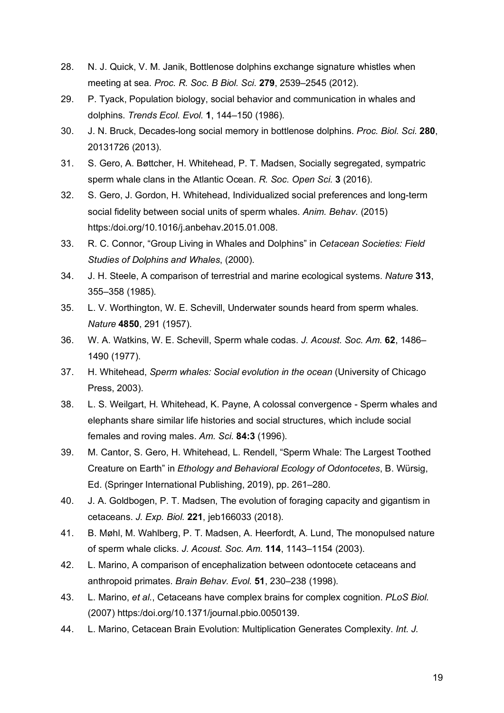- 28. N. J. Quick, V. M. Janik, Bottlenose dolphins exchange signature whistles when meeting at sea. *Proc. R. Soc. B Biol. Sci.* **279**, 2539–2545 (2012).
- 29. P. Tyack, Population biology, social behavior and communication in whales and dolphins. *Trends Ecol. Evol.* **1**, 144–150 (1986).
- 30. J. N. Bruck, Decades-long social memory in bottlenose dolphins. *Proc. Biol. Sci.* **280**, 20131726 (2013).
- 31. S. Gero, A. Bøttcher, H. Whitehead, P. T. Madsen, Socially segregated, sympatric sperm whale clans in the Atlantic Ocean. *R. Soc. Open Sci.* **3** (2016).
- 32. S. Gero, J. Gordon, H. Whitehead, Individualized social preferences and long-term social fidelity between social units of sperm whales. *Anim. Behav.* (2015) https:/doi.org/10.1016/j.anbehav.2015.01.008.
- 33. R. C. Connor, "Group Living in Whales and Dolphins" in *Cetacean Societies: Field Studies of Dolphins and Whales*, (2000).
- 34. J. H. Steele, A comparison of terrestrial and marine ecological systems. *Nature* **313**, 355–358 (1985).
- 35. L. V. Worthington, W. E. Schevill, Underwater sounds heard from sperm whales. *Nature* **4850**, 291 (1957).
- 36. W. A. Watkins, W. E. Schevill, Sperm whale codas. *J. Acoust. Soc. Am.* **62**, 1486– 1490 (1977).
- 37. H. Whitehead, *Sperm whales: Social evolution in the ocean* (University of Chicago Press, 2003).
- 38. L. S. Weilgart, H. Whitehead, K. Payne, A colossal convergence Sperm whales and elephants share similar life histories and social structures, which include social females and roving males. *Am. Sci.* **84:3** (1996).
- 39. M. Cantor, S. Gero, H. Whitehead, L. Rendell, "Sperm Whale: The Largest Toothed Creature on Earth" in *Ethology and Behavioral Ecology of Odontocetes*, B. Würsig, Ed. (Springer International Publishing, 2019), pp. 261–280.
- 40. J. A. Goldbogen, P. T. Madsen, The evolution of foraging capacity and gigantism in cetaceans. *J. Exp. Biol.* **221**, jeb166033 (2018).
- 41. B. Møhl, M. Wahlberg, P. T. Madsen, A. Heerfordt, A. Lund, The monopulsed nature of sperm whale clicks. *J. Acoust. Soc. Am.* **114**, 1143–1154 (2003).
- 42. L. Marino, A comparison of encephalization between odontocete cetaceans and anthropoid primates. *Brain Behav. Evol.* **51**, 230–238 (1998).
- 43. L. Marino, *et al.*, Cetaceans have complex brains for complex cognition. *PLoS Biol.* (2007) https:/doi.org/10.1371/journal.pbio.0050139.
- 44. L. Marino, Cetacean Brain Evolution: Multiplication Generates Complexity. *Int. J.*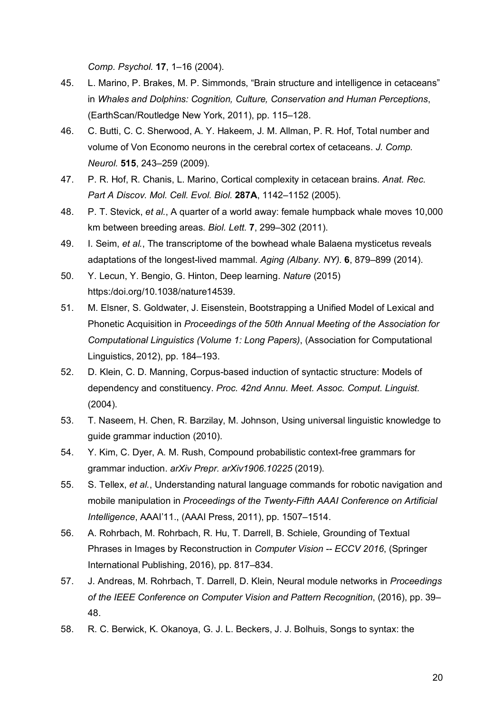*Comp. Psychol.* **17**, 1–16 (2004).

- 45. L. Marino, P. Brakes, M. P. Simmonds, "Brain structure and intelligence in cetaceans" in *Whales and Dolphins: Cognition, Culture, Conservation and Human Perceptions*, (EarthScan/Routledge New York, 2011), pp. 115–128.
- 46. C. Butti, C. C. Sherwood, A. Y. Hakeem, J. M. Allman, P. R. Hof, Total number and volume of Von Economo neurons in the cerebral cortex of cetaceans. *J. Comp. Neurol.* **515**, 243–259 (2009).
- 47. P. R. Hof, R. Chanis, L. Marino, Cortical complexity in cetacean brains. *Anat. Rec. Part A Discov. Mol. Cell. Evol. Biol.* **287A**, 1142–1152 (2005).
- 48. P. T. Stevick, *et al.*, A quarter of a world away: female humpback whale moves 10,000 km between breeding areas. *Biol. Lett.* **7**, 299–302 (2011).
- 49. I. Seim, *et al.*, The transcriptome of the bowhead whale Balaena mysticetus reveals adaptations of the longest-lived mammal. *Aging (Albany. NY).* **6**, 879–899 (2014).
- 50. Y. Lecun, Y. Bengio, G. Hinton, Deep learning. *Nature* (2015) https:/doi.org/10.1038/nature14539.
- 51. M. Elsner, S. Goldwater, J. Eisenstein, Bootstrapping a Unified Model of Lexical and Phonetic Acquisition in *Proceedings of the 50th Annual Meeting of the Association for Computational Linguistics (Volume 1: Long Papers)*, (Association for Computational Linguistics, 2012), pp. 184–193.
- 52. D. Klein, C. D. Manning, Corpus-based induction of syntactic structure: Models of dependency and constituency. *Proc. 42nd Annu. Meet. Assoc. Comput. Linguist.* (2004).
- 53. T. Naseem, H. Chen, R. Barzilay, M. Johnson, Using universal linguistic knowledge to guide grammar induction (2010).
- 54. Y. Kim, C. Dyer, A. M. Rush, Compound probabilistic context-free grammars for grammar induction. *arXiv Prepr. arXiv1906.10225* (2019).
- 55. S. Tellex, *et al.*, Understanding natural language commands for robotic navigation and mobile manipulation in *Proceedings of the Twenty-Fifth AAAI Conference on Artificial Intelligence*, AAAI'11., (AAAI Press, 2011), pp. 1507–1514.
- 56. A. Rohrbach, M. Rohrbach, R. Hu, T. Darrell, B. Schiele, Grounding of Textual Phrases in Images by Reconstruction in *Computer Vision -- ECCV 2016*, (Springer International Publishing, 2016), pp. 817–834.
- 57. J. Andreas, M. Rohrbach, T. Darrell, D. Klein, Neural module networks in *Proceedings of the IEEE Conference on Computer Vision and Pattern Recognition*, (2016), pp. 39– 48.
- 58. R. C. Berwick, K. Okanoya, G. J. L. Beckers, J. J. Bolhuis, Songs to syntax: the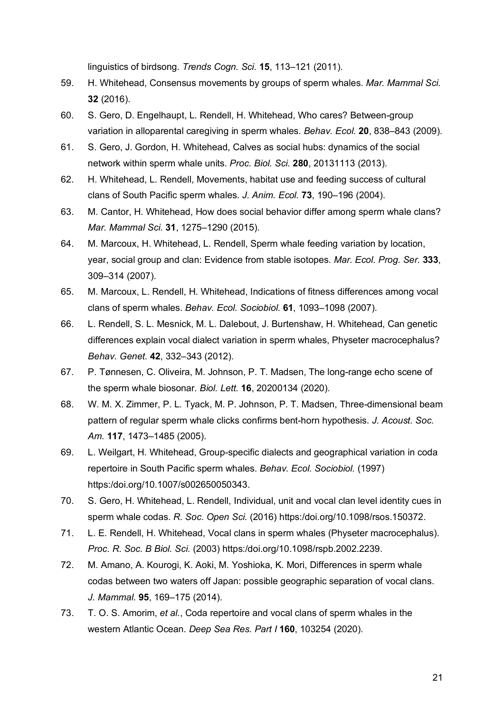linguistics of birdsong. *Trends Cogn. Sci.* **15**, 113–121 (2011).

- 59. H. Whitehead, Consensus movements by groups of sperm whales. *Mar. Mammal Sci.* **32** (2016).
- 60. S. Gero, D. Engelhaupt, L. Rendell, H. Whitehead, Who cares? Between-group variation in alloparental caregiving in sperm whales. *Behav. Ecol.* **20**, 838–843 (2009).
- 61. S. Gero, J. Gordon, H. Whitehead, Calves as social hubs: dynamics of the social network within sperm whale units. *Proc. Biol. Sci.* **280**, 20131113 (2013).
- 62. H. Whitehead, L. Rendell, Movements, habitat use and feeding success of cultural clans of South Pacific sperm whales. *J. Anim. Ecol.* **73**, 190–196 (2004).
- 63. M. Cantor, H. Whitehead, How does social behavior differ among sperm whale clans? *Mar. Mammal Sci.* **31**, 1275–1290 (2015).
- 64. M. Marcoux, H. Whitehead, L. Rendell, Sperm whale feeding variation by location, year, social group and clan: Evidence from stable isotopes. *Mar. Ecol. Prog. Ser.* **333**, 309–314 (2007).
- 65. M. Marcoux, L. Rendell, H. Whitehead, Indications of fitness differences among vocal clans of sperm whales. *Behav. Ecol. Sociobiol.* **61**, 1093–1098 (2007).
- 66. L. Rendell, S. L. Mesnick, M. L. Dalebout, J. Burtenshaw, H. Whitehead, Can genetic differences explain vocal dialect variation in sperm whales, Physeter macrocephalus? *Behav. Genet.* **42**, 332–343 (2012).
- 67. P. Tønnesen, C. Oliveira, M. Johnson, P. T. Madsen, The long-range echo scene of the sperm whale biosonar. *Biol. Lett.* **16**, 20200134 (2020).
- 68. W. M. X. Zimmer, P. L. Tyack, M. P. Johnson, P. T. Madsen, Three-dimensional beam pattern of regular sperm whale clicks confirms bent-horn hypothesis. *J. Acoust. Soc. Am.* **117**, 1473–1485 (2005).
- 69. L. Weilgart, H. Whitehead, Group-specific dialects and geographical variation in coda repertoire in South Pacific sperm whales. *Behav. Ecol. Sociobiol.* (1997) https:/doi.org/10.1007/s002650050343.
- 70. S. Gero, H. Whitehead, L. Rendell, Individual, unit and vocal clan level identity cues in sperm whale codas. *R. Soc. Open Sci.* (2016) https:/doi.org/10.1098/rsos.150372.
- 71. L. E. Rendell, H. Whitehead, Vocal clans in sperm whales (Physeter macrocephalus). *Proc. R. Soc. B Biol. Sci.* (2003) https:/doi.org/10.1098/rspb.2002.2239.
- 72. M. Amano, A. Kourogi, K. Aoki, M. Yoshioka, K. Mori, Differences in sperm whale codas between two waters off Japan: possible geographic separation of vocal clans. *J. Mammal.* **95**, 169–175 (2014).
- 73. T. O. S. Amorim, *et al.*, Coda repertoire and vocal clans of sperm whales in the western Atlantic Ocean. *Deep Sea Res. Part I* **160**, 103254 (2020).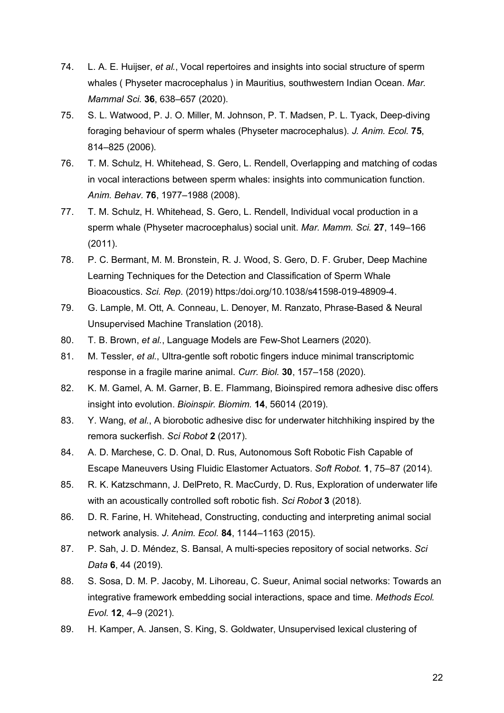- 74. L. A. E. Huijser, *et al.*, Vocal repertoires and insights into social structure of sperm whales ( Physeter macrocephalus ) in Mauritius, southwestern Indian Ocean. *Mar. Mammal Sci.* **36**, 638–657 (2020).
- 75. S. L. Watwood, P. J. O. Miller, M. Johnson, P. T. Madsen, P. L. Tyack, Deep-diving foraging behaviour of sperm whales (Physeter macrocephalus). *J. Anim. Ecol.* **75**, 814–825 (2006).
- 76. T. M. Schulz, H. Whitehead, S. Gero, L. Rendell, Overlapping and matching of codas in vocal interactions between sperm whales: insights into communication function. *Anim. Behav.* **76**, 1977–1988 (2008).
- 77. T. M. Schulz, H. Whitehead, S. Gero, L. Rendell, Individual vocal production in a sperm whale (Physeter macrocephalus) social unit. *Mar. Mamm. Sci.* **27**, 149–166 (2011).
- 78. P. C. Bermant, M. M. Bronstein, R. J. Wood, S. Gero, D. F. Gruber, Deep Machine Learning Techniques for the Detection and Classification of Sperm Whale Bioacoustics. *Sci. Rep.* (2019) https:/doi.org/10.1038/s41598-019-48909-4.
- 79. G. Lample, M. Ott, A. Conneau, L. Denoyer, M. Ranzato, Phrase-Based & Neural Unsupervised Machine Translation (2018).
- 80. T. B. Brown, *et al.*, Language Models are Few-Shot Learners (2020).
- 81. M. Tessler, *et al.*, Ultra-gentle soft robotic fingers induce minimal transcriptomic response in a fragile marine animal. *Curr. Biol.* **30**, 157–158 (2020).
- 82. K. M. Gamel, A. M. Garner, B. E. Flammang, Bioinspired remora adhesive disc offers insight into evolution. *Bioinspir. Biomim.* **14**, 56014 (2019).
- 83. Y. Wang, *et al.*, A biorobotic adhesive disc for underwater hitchhiking inspired by the remora suckerfish. *Sci Robot* **2** (2017).
- 84. A. D. Marchese, C. D. Onal, D. Rus, Autonomous Soft Robotic Fish Capable of Escape Maneuvers Using Fluidic Elastomer Actuators. *Soft Robot.* **1**, 75–87 (2014).
- 85. R. K. Katzschmann, J. DelPreto, R. MacCurdy, D. Rus, Exploration of underwater life with an acoustically controlled soft robotic fish. *Sci Robot* **3** (2018).
- 86. D. R. Farine, H. Whitehead, Constructing, conducting and interpreting animal social network analysis. *J. Anim. Ecol.* **84**, 1144–1163 (2015).
- 87. P. Sah, J. D. Méndez, S. Bansal, A multi-species repository of social networks. *Sci Data* **6**, 44 (2019).
- 88. S. Sosa, D. M. P. Jacoby, M. Lihoreau, C. Sueur, Animal social networks: Towards an integrative framework embedding social interactions, space and time. *Methods Ecol. Evol.* **12**, 4–9 (2021).
- 89. H. Kamper, A. Jansen, S. King, S. Goldwater, Unsupervised lexical clustering of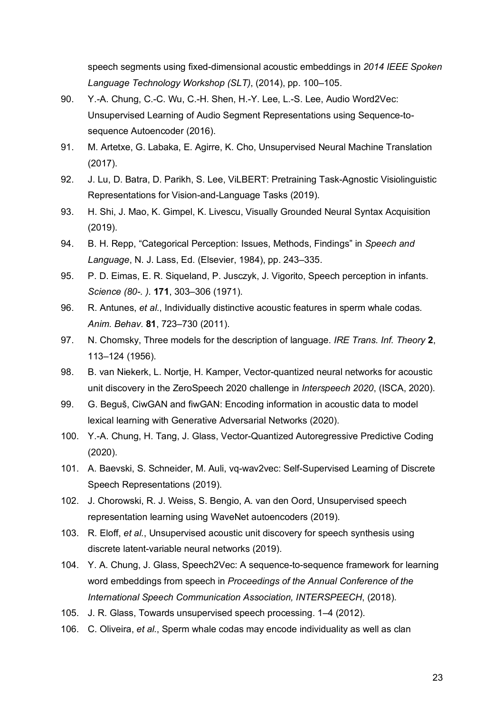speech segments using fixed-dimensional acoustic embeddings in *2014 IEEE Spoken Language Technology Workshop (SLT)*, (2014), pp. 100–105.

- 90. Y.-A. Chung, C.-C. Wu, C.-H. Shen, H.-Y. Lee, L.-S. Lee, Audio Word2Vec: Unsupervised Learning of Audio Segment Representations using Sequence-tosequence Autoencoder (2016).
- 91. M. Artetxe, G. Labaka, E. Agirre, K. Cho, Unsupervised Neural Machine Translation (2017).
- 92. J. Lu, D. Batra, D. Parikh, S. Lee, ViLBERT: Pretraining Task-Agnostic Visiolinguistic Representations for Vision-and-Language Tasks (2019).
- 93. H. Shi, J. Mao, K. Gimpel, K. Livescu, Visually Grounded Neural Syntax Acquisition (2019).
- 94. B. H. Repp, "Categorical Perception: Issues, Methods, Findings" in *Speech and Language*, N. J. Lass, Ed. (Elsevier, 1984), pp. 243–335.
- 95. P. D. Eimas, E. R. Siqueland, P. Jusczyk, J. Vigorito, Speech perception in infants. *Science (80-. ).* **171**, 303–306 (1971).
- 96. R. Antunes, *et al.*, Individually distinctive acoustic features in sperm whale codas. *Anim. Behav.* **81**, 723–730 (2011).
- 97. N. Chomsky, Three models for the description of language. *IRE Trans. Inf. Theory* **2**, 113–124 (1956).
- 98. B. van Niekerk, L. Nortje, H. Kamper, Vector-quantized neural networks for acoustic unit discovery in the ZeroSpeech 2020 challenge in *Interspeech 2020*, (ISCA, 2020).
- 99. G. Beguš, CiwGAN and fiwGAN: Encoding information in acoustic data to model lexical learning with Generative Adversarial Networks (2020).
- 100. Y.-A. Chung, H. Tang, J. Glass, Vector-Quantized Autoregressive Predictive Coding (2020).
- 101. A. Baevski, S. Schneider, M. Auli, vq-wav2vec: Self-Supervised Learning of Discrete Speech Representations (2019).
- 102. J. Chorowski, R. J. Weiss, S. Bengio, A. van den Oord, Unsupervised speech representation learning using WaveNet autoencoders (2019).
- 103. R. Eloff, *et al.*, Unsupervised acoustic unit discovery for speech synthesis using discrete latent-variable neural networks (2019).
- 104. Y. A. Chung, J. Glass, Speech2Vec: A sequence-to-sequence framework for learning word embeddings from speech in *Proceedings of the Annual Conference of the International Speech Communication Association, INTERSPEECH*, (2018).
- 105. J. R. Glass, Towards unsupervised speech processing. 1–4 (2012).
- 106. C. Oliveira, *et al.*, Sperm whale codas may encode individuality as well as clan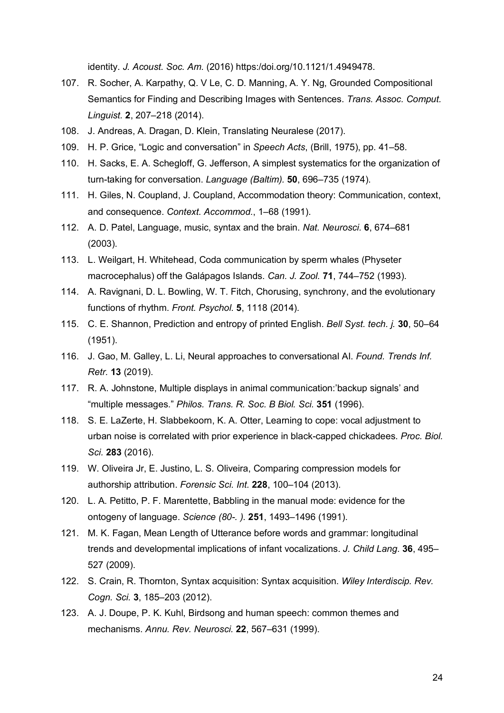identity. *J. Acoust. Soc. Am.* (2016) https:/doi.org/10.1121/1.4949478.

- 107. R. Socher, A. Karpathy, Q. V Le, C. D. Manning, A. Y. Ng, Grounded Compositional Semantics for Finding and Describing Images with Sentences. *Trans. Assoc. Comput. Linguist.* **2**, 207–218 (2014).
- 108. J. Andreas, A. Dragan, D. Klein, Translating Neuralese (2017).
- 109. H. P. Grice, "Logic and conversation" in *Speech Acts*, (Brill, 1975), pp. 41–58.
- 110. H. Sacks, E. A. Schegloff, G. Jefferson, A simplest systematics for the organization of turn-taking for conversation. *Language (Baltim).* **50**, 696–735 (1974).
- 111. H. Giles, N. Coupland, J. Coupland, Accommodation theory: Communication, context, and consequence. *Context. Accommod.*, 1–68 (1991).
- 112. A. D. Patel, Language, music, syntax and the brain. *Nat. Neurosci.* **6**, 674–681 (2003).
- 113. L. Weilgart, H. Whitehead, Coda communication by sperm whales (Physeter macrocephalus) off the Galápagos Islands. *Can. J. Zool.* **71**, 744–752 (1993).
- 114. A. Ravignani, D. L. Bowling, W. T. Fitch, Chorusing, synchrony, and the evolutionary functions of rhythm. *Front. Psychol.* **5**, 1118 (2014).
- 115. C. E. Shannon, Prediction and entropy of printed English. *Bell Syst. tech. j.* **30**, 50–64 (1951).
- 116. J. Gao, M. Galley, L. Li, Neural approaches to conversational AI. *Found. Trends Inf. Retr.* **13** (2019).
- 117. R. A. Johnstone, Multiple displays in animal communication:'backup signals' and "multiple messages." *Philos. Trans. R. Soc. B Biol. Sci.* **351** (1996).
- 118. S. E. LaZerte, H. Slabbekoorn, K. A. Otter, Learning to cope: vocal adjustment to urban noise is correlated with prior experience in black-capped chickadees. *Proc. Biol. Sci.* **283** (2016).
- 119. W. Oliveira Jr, E. Justino, L. S. Oliveira, Comparing compression models for authorship attribution. *Forensic Sci. Int.* **228**, 100–104 (2013).
- 120. L. A. Petitto, P. F. Marentette, Babbling in the manual mode: evidence for the ontogeny of language. *Science (80-. ).* **251**, 1493–1496 (1991).
- 121. M. K. Fagan, Mean Length of Utterance before words and grammar: longitudinal trends and developmental implications of infant vocalizations. *J. Child Lang.* **36**, 495– 527 (2009).
- 122. S. Crain, R. Thornton, Syntax acquisition: Syntax acquisition. *Wiley Interdiscip. Rev. Cogn. Sci.* **3**, 185–203 (2012).
- 123. A. J. Doupe, P. K. Kuhl, Birdsong and human speech: common themes and mechanisms. *Annu. Rev. Neurosci.* **22**, 567–631 (1999).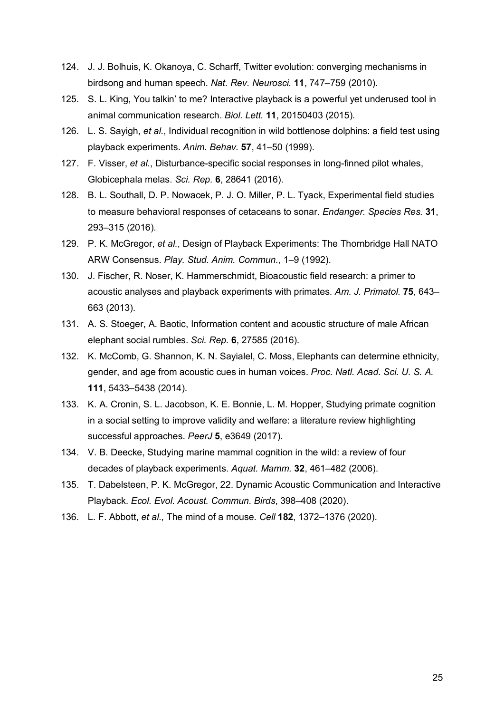- 124. J. J. Bolhuis, K. Okanoya, C. Scharff, Twitter evolution: converging mechanisms in birdsong and human speech. *Nat. Rev. Neurosci.* **11**, 747–759 (2010).
- 125. S. L. King, You talkin' to me? Interactive playback is a powerful yet underused tool in animal communication research. *Biol. Lett.* **11**, 20150403 (2015).
- 126. L. S. Sayigh, *et al.*, Individual recognition in wild bottlenose dolphins: a field test using playback experiments. *Anim. Behav.* **57**, 41–50 (1999).
- 127. F. Visser, *et al.*, Disturbance-specific social responses in long-finned pilot whales, Globicephala melas. *Sci. Rep.* **6**, 28641 (2016).
- 128. B. L. Southall, D. P. Nowacek, P. J. O. Miller, P. L. Tyack, Experimental field studies to measure behavioral responses of cetaceans to sonar. *Endanger. Species Res.* **31**, 293–315 (2016).
- 129. P. K. McGregor, *et al.*, Design of Playback Experiments: The Thornbridge Hall NATO ARW Consensus. *Play. Stud. Anim. Commun.*, 1–9 (1992).
- 130. J. Fischer, R. Noser, K. Hammerschmidt, Bioacoustic field research: a primer to acoustic analyses and playback experiments with primates. *Am. J. Primatol.* **75**, 643– 663 (2013).
- 131. A. S. Stoeger, A. Baotic, Information content and acoustic structure of male African elephant social rumbles. *Sci. Rep.* **6**, 27585 (2016).
- 132. K. McComb, G. Shannon, K. N. Sayialel, C. Moss, Elephants can determine ethnicity, gender, and age from acoustic cues in human voices. *Proc. Natl. Acad. Sci. U. S. A.* **111**, 5433–5438 (2014).
- 133. K. A. Cronin, S. L. Jacobson, K. E. Bonnie, L. M. Hopper, Studying primate cognition in a social setting to improve validity and welfare: a literature review highlighting successful approaches. *PeerJ* **5**, e3649 (2017).
- 134. V. B. Deecke, Studying marine mammal cognition in the wild: a review of four decades of playback experiments. *Aquat. Mamm.* **32**, 461–482 (2006).
- 135. T. Dabelsteen, P. K. McGregor, 22. Dynamic Acoustic Communication and Interactive Playback. *Ecol. Evol. Acoust. Commun. Birds*, 398–408 (2020).
- 136. L. F. Abbott, *et al.*, The mind of a mouse. *Cell* **182**, 1372–1376 (2020).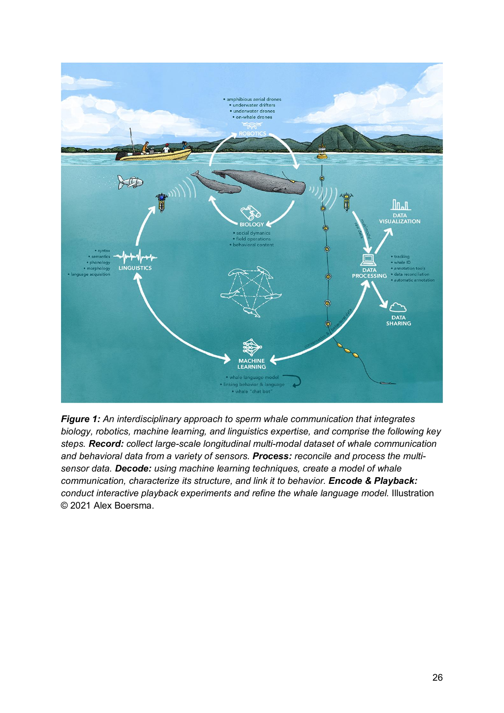

*Figure 1: An interdisciplinary approach to sperm whale communication that integrates biology, robotics, machine learning, and linguistics expertise, and comprise the following key steps. Record: collect large-scale longitudinal multi-modal dataset of whale communication and behavioral data from a variety of sensors. Process: reconcile and process the multisensor data. Decode: using machine learning techniques, create a model of whale communication, characterize its structure, and link it to behavior. Encode & Playback: conduct interactive playback experiments and refine the whale language model.* Illustration © 2021 Alex Boersma.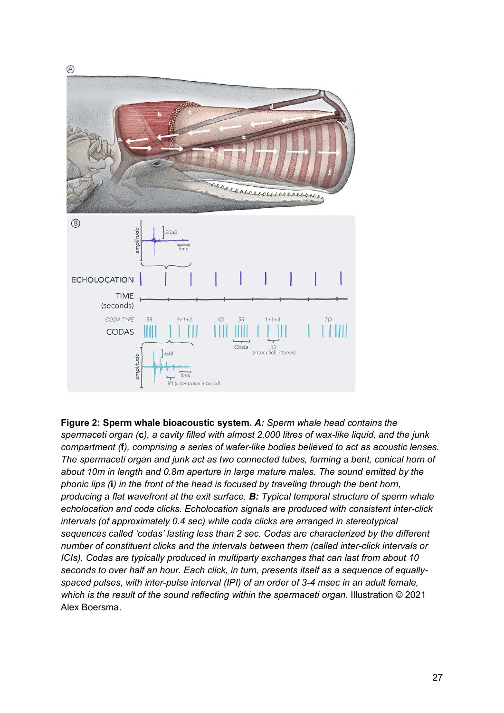

**Figure 2: Sperm whale bioacoustic system.** *A: Sperm whale head contains the spermaceti organ (***c***), a cavity filled with almost 2,000 litres of wax-like liquid, and the junk compartment (***f***), comprising a series of wafer-like bodies believed to act as acoustic lenses. The spermaceti organ and junk act as two connected tubes, forming a bent, conical horn of about 10m in length and 0.8m aperture in large mature males. The sound emitted by the phonic lips (***i***) in the front of the head is focused by traveling through the bent horn, producing a flat wavefront at the exit surface. B: Typical temporal structure of sperm whale echolocation and coda clicks. Echolocation signals are produced with consistent inter-click intervals (of approximately 0.4 sec) while coda clicks are arranged in stereotypical sequences called 'codas' lasting less than 2 sec. Codas are characterized by the different number of constituent clicks and the intervals between them (called inter-click intervals or ICIs). Codas are typically produced in multiparty exchanges that can last from about 10 seconds to over half an hour. Each click, in turn, presents itself as a sequence of equallyspaced pulses, with inter-pulse interval (IPI) of an order of 3-4 msec in an adult female, which is the result of the sound reflecting within the spermaceti organ.* Illustration © 2021 Alex Boersma.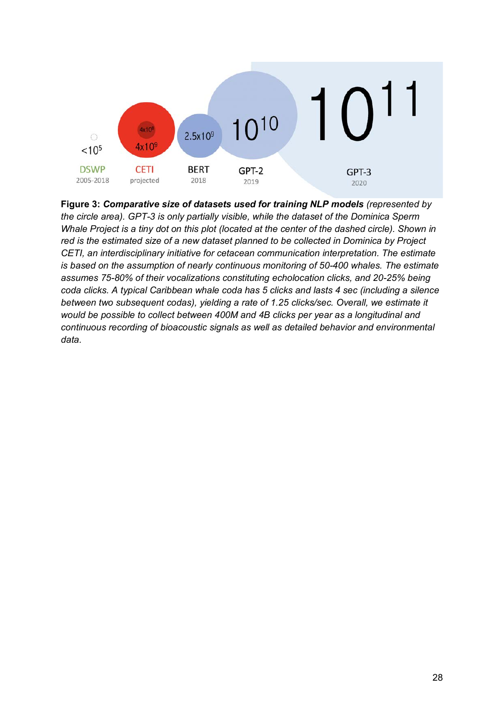

**Figure 3:** *Comparative size of datasets used for training NLP models (represented by the circle area). GPT-3 is only partially visible, while the dataset of the Dominica Sperm Whale Project is a tiny dot on this plot (located at the center of the dashed circle). Shown in red is the estimated size of a new dataset planned to be collected in Dominica by Project CETI, an interdisciplinary initiative for cetacean communication interpretation. The estimate is based on the assumption of nearly continuous monitoring of 50-400 whales. The estimate assumes 75-80% of their vocalizations constituting echolocation clicks, and 20-25% being coda clicks. A typical Caribbean whale coda has 5 clicks and lasts 4 sec (including a silence between two subsequent codas), yielding a rate of 1.25 clicks/sec. Overall, we estimate it would be possible to collect between 400M and 4B clicks per year as a longitudinal and continuous recording of bioacoustic signals as well as detailed behavior and environmental data.*